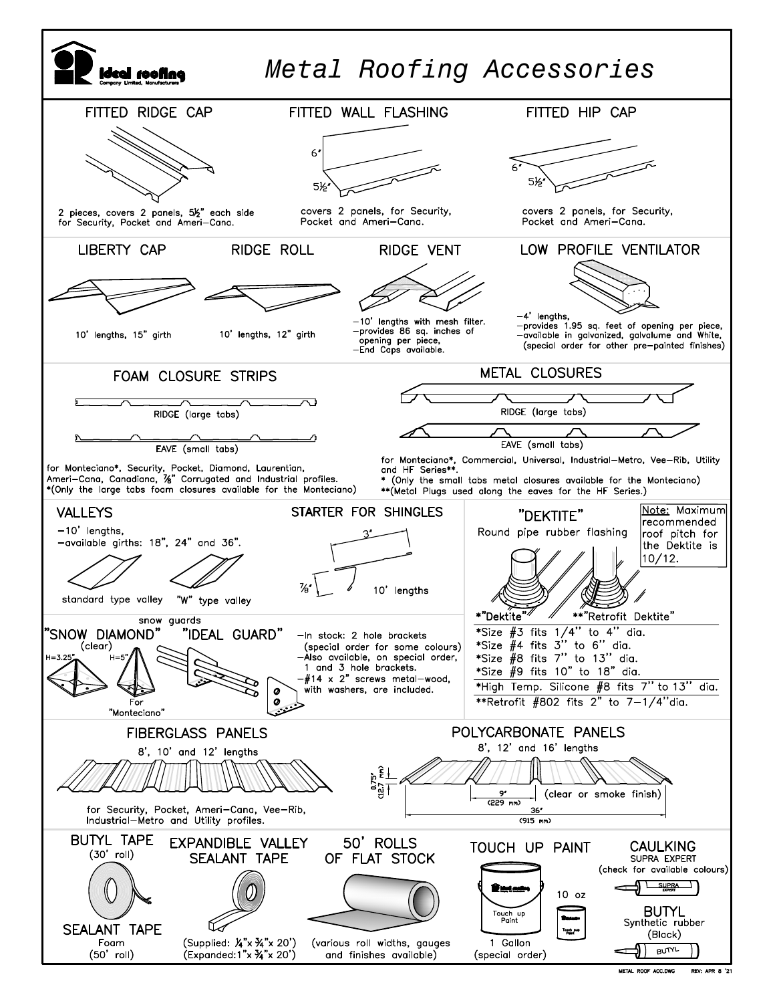